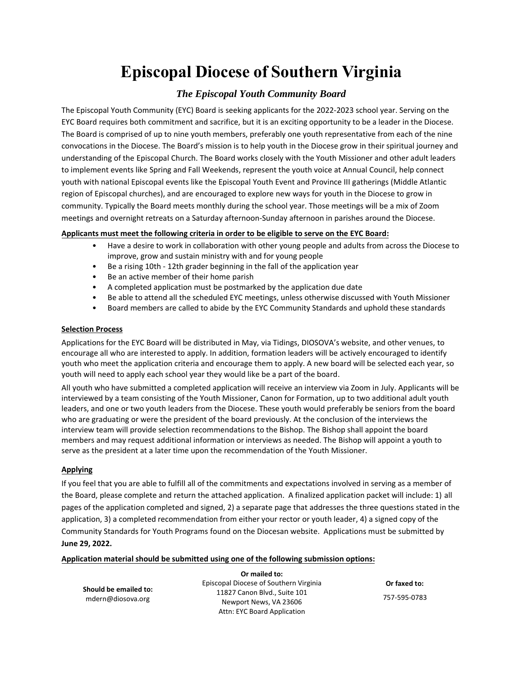# **Episcopal Diocese of Southern Virginia**

### *The Episcopal Youth Community Board*

The Episcopal Youth Community (EYC) Board is seeking applicants for the 2022-2023 school year. Serving on the EYC Board requires both commitment and sacrifice, but it is an exciting opportunity to be a leader in the Diocese. The Board is comprised of up to nine youth members, preferably one youth representative from each of the nine convocations in the Diocese. The Board's mission is to help youth in the Diocese grow in their spiritual journey and understanding of the Episcopal Church. The Board works closely with the Youth Missioner and other adult leaders to implement events like Spring and Fall Weekends, represent the youth voice at Annual Council, help connect youth with national Episcopal events like the Episcopal Youth Event and Province III gatherings (Middle Atlantic region of Episcopal churches), and are encouraged to explore new ways for youth in the Diocese to grow in community. Typically the Board meets monthly during the school year. Those meetings will be a mix of Zoom meetings and overnight retreats on a Saturday afternoon-Sunday afternoon in parishes around the Diocese.

### **Applicants must meet the following criteria in order to be eligible to serve on the EYC Board:**

- Have a desire to work in collaboration with other young people and adults from across the Diocese to improve, grow and sustain ministry with and for young people
- Be a rising 10th 12th grader beginning in the fall of the application year
- Be an active member of their home parish
- A completed application must be postmarked by the application due date
- Be able to attend all the scheduled EYC meetings, unless otherwise discussed with Youth Missioner
- Board members are called to abide by the EYC Community Standards and uphold these standards

### **Selection Process**

Applications for the EYC Board will be distributed in May, via Tidings, DIOSOVA's website, and other venues, to encourage all who are interested to apply. In addition, formation leaders will be actively encouraged to identify youth who meet the application criteria and encourage them to apply. A new board will be selected each year, so youth will need to apply each school year they would like be a part of the board.

All youth who have submitted a completed application will receive an interview via Zoom in July. Applicants will be interviewed by a team consisting of the Youth Missioner, Canon for Formation, up to two additional adult youth leaders, and one or two youth leaders from the Diocese. These youth would preferably be seniors from the board who are graduating or were the president of the board previously. At the conclusion of the interviews the interview team will provide selection recommendations to the Bishop. The Bishop shall appoint the board members and may request additional information or interviews as needed. The Bishop will appoint a youth to serve as the president at a later time upon the recommendation of the Youth Missioner.

### **Applying**

If you feel that you are able to fulfill all of the commitments and expectations involved in serving as a member of the Board, please complete and return the attached application. A finalized application packet will include: 1) all pages of the application completed and signed, 2) a separate page that addresses the three questions stated in the application, 3) a completed recommendation from either your rector or youth leader, 4) a signed copy of the Community Standards for Youth Programs found on the Diocesan website. Applications must be submitted by **June 29, 2022.**

### **Application material should be submitted using one of the following submission options:**

**Should be emailed to:** mdern@diosova.org

**Or mailed to:**  Episcopal Diocese of Southern Virginia 11827 Canon Blvd., Suite 101 Newport News, VA 23606 Attn: EYC Board Application

**Or faxed to:** 757-595-0783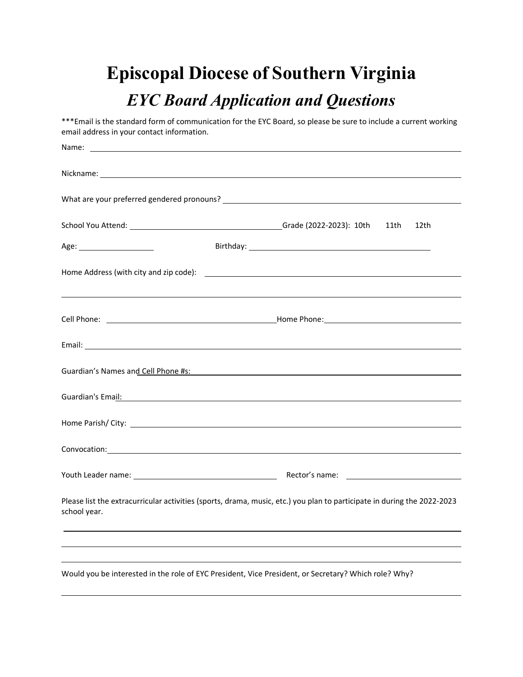# **Episcopal Diocese of Southern Virginia**

# *EYC Board Application and Questions*

\*\*\*Email is the standard form of communication for the EYC Board, so please be sure to include a current working email address in your contact information. Name: Nickname: What are your preferred gendered pronouns? School You Attend: Grade (2022-2023): 10th 11th 12th Age: Birthday: Home Address (with city and zip code):  $\qquad \qquad$ 

| Cell<br>Phone. | Home<br>Phone |  |
|----------------|---------------|--|
|                |               |  |

| Guardian's Names and Cell Phone #s: |  |
|-------------------------------------|--|
| Guardian's Email:                   |  |
|                                     |  |

Youth Leader name: Rector's name:

Email:

Please list the extracurricular activities (sports, drama, music, etc.) you plan to participate in during the 2022-2023 school year.

Convocation:

Would you be interested in the role of EYC President, Vice President, or Secretary? Which role? Why?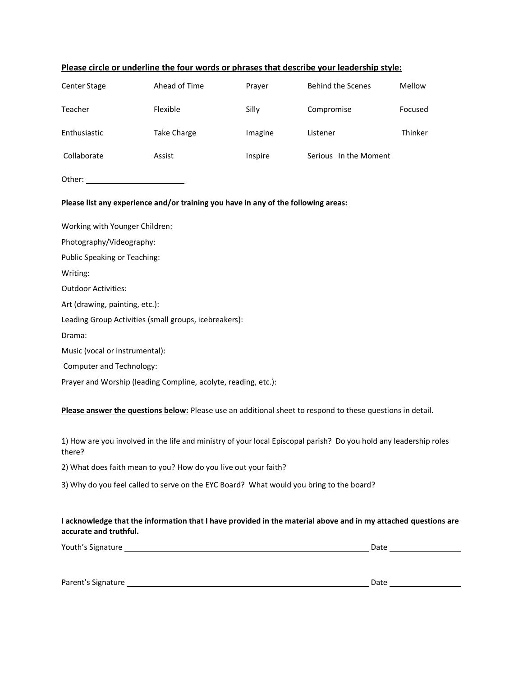|                                                                                                                                                                                                                                | Please circle or underline the four words or phrases that describe your leadership style: |         |                                                                                                            |         |  |
|--------------------------------------------------------------------------------------------------------------------------------------------------------------------------------------------------------------------------------|-------------------------------------------------------------------------------------------|---------|------------------------------------------------------------------------------------------------------------|---------|--|
| Center Stage                                                                                                                                                                                                                   | Ahead of Time                                                                             | Prayer  | <b>Behind the Scenes</b>                                                                                   | Mellow  |  |
| Teacher                                                                                                                                                                                                                        | Flexible                                                                                  | Silly   | Compromise                                                                                                 | Focused |  |
| Enthusiastic                                                                                                                                                                                                                   | <b>Take Charge</b>                                                                        | Imagine | Listener                                                                                                   | Thinker |  |
| Collaborate                                                                                                                                                                                                                    | Assist                                                                                    | Inspire | Serious In the Moment                                                                                      |         |  |
| Other: and the state of the state of the state of the state of the state of the state of the state of the state of the state of the state of the state of the state of the state of the state of the state of the state of the |                                                                                           |         |                                                                                                            |         |  |
|                                                                                                                                                                                                                                | Please list any experience and/or training you have in any of the following areas:        |         |                                                                                                            |         |  |
| Working with Younger Children:                                                                                                                                                                                                 |                                                                                           |         |                                                                                                            |         |  |
| Photography/Videography:                                                                                                                                                                                                       |                                                                                           |         |                                                                                                            |         |  |
| <b>Public Speaking or Teaching:</b>                                                                                                                                                                                            |                                                                                           |         |                                                                                                            |         |  |
| Writing:                                                                                                                                                                                                                       |                                                                                           |         |                                                                                                            |         |  |
| <b>Outdoor Activities:</b>                                                                                                                                                                                                     |                                                                                           |         |                                                                                                            |         |  |
| Art (drawing, painting, etc.):                                                                                                                                                                                                 |                                                                                           |         |                                                                                                            |         |  |
| Leading Group Activities (small groups, icebreakers):                                                                                                                                                                          |                                                                                           |         |                                                                                                            |         |  |
| Drama:                                                                                                                                                                                                                         |                                                                                           |         |                                                                                                            |         |  |
| Music (vocal or instrumental):                                                                                                                                                                                                 |                                                                                           |         |                                                                                                            |         |  |
| <b>Computer and Technology:</b>                                                                                                                                                                                                |                                                                                           |         |                                                                                                            |         |  |
|                                                                                                                                                                                                                                | Prayer and Worship (leading Compline, acolyte, reading, etc.):                            |         |                                                                                                            |         |  |
|                                                                                                                                                                                                                                |                                                                                           |         | Please answer the questions below: Please use an additional sheet to respond to these questions in detail. |         |  |

1) How are you involved in the life and ministry of your local Episcopal parish? Do you hold any leadership roles there?

2) What does faith mean to you? How do you live out your faith?

3) Why do you feel called to serve on the EYC Board? What would you bring to the board?

### **I acknowledge that the information that I have provided in the material above and in my attached questions are accurate and truthful.**

Youth's Signature Date

Parent's Signature Date